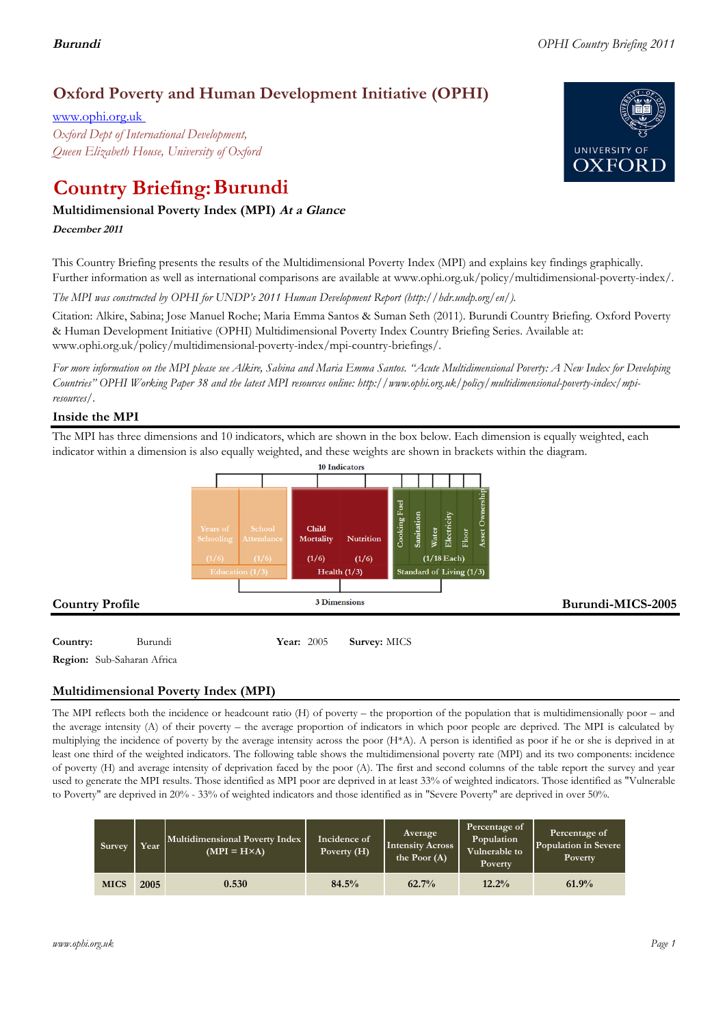# **Oxford Poverty and Human Development Initiative (OPHI)**

www.ophi.org.uk *Oxford Dept of International Development, Queen Elizabeth House, University of Oxford*

# **Country Briefing: Burundi**

# **Multidimensional Poverty Index (MPI) At <sup>a</sup> Glance**

**December <sup>2011</sup>**

This Country Briefing presents the results of the Multidimensional Poverty Index (MPI) and explains key findings graphically. Further information as well as international comparisons are available at www.ophi.org.uk/policy/multidimensional-poverty-index/.

*The MPI was constructed by OPHI for UNDP's 2011 Human Development Report (http://hdr.undp.org/en/).*

Citation: Alkire, Sabina; Jose Manuel Roche; Maria Emma Santos & Suman Seth (2011). Burundi Country Briefing. Oxford Poverty & Human Development Initiative (OPHI) Multidimensional Poverty Index Country Briefing Series. Available at: www.ophi.org.uk/policy/multidimensional-poverty-index/mpi-country-briefings/.

*For more information on the MPI please see Alkire, Sabina and Maria Emma Santos. "Acute Multidimensional Poverty: A New Index for Developing Countries" OPHI Working Paper 38 and the latest MPI resources online: http://www.ophi.org.uk/policy/multidimensional-poverty-index/mpiresources/.*

# **Inside the MPI**

The MPI has three dimensions and 10 indicators, which are shown in the box below. Each dimension is equally weighted, each indicator within a dimension is also equally weighted, and these weights are shown in brackets within the diagram.



**Country:** 3 Burundi 15 **Year:** 2005 **Survey:** MICS **Region:** Sub-Saharan Africa

# **Multidimensional Poverty Index (MPI)**

The MPI reflects both the incidence or headcount ratio (H) of poverty – the proportion of the population that is multidimensionally poor – and the average intensity (A) of their poverty – the average proportion of indicators in which poor people are deprived. The MPI is calculated by multiplying the incidence of poverty by the average intensity across the poor (H\*A). A person is identified as poor if he or she is deprived in at least one third of the weighted indicators. The following table shows the multidimensional poverty rate (MPI) and its two components: incidence of poverty (H) and average intensity of deprivation faced by the poor (A). The first and second columns of the table report the survey and year used to generate the MPI results. Those identified as MPI poor are deprived in at least 33% of weighted indicators. Those identified as "Vulnerable to Poverty" are deprived in 20% - 33% of weighted indicators and those identified as in "Severe Poverty" are deprived in over 50%.

| Survey      | Year <sup>1</sup> | Multidimensional Poverty Index<br>$(MPI = H \times A)$ | Incidence of<br>Poverty (H) | Average<br><b>Intensity Across</b><br>the Poor (A) | Percentage of<br>Population<br>Vulnerable to<br>Poverty | Percentage of<br>Population in Severe<br>Poverty |
|-------------|-------------------|--------------------------------------------------------|-----------------------------|----------------------------------------------------|---------------------------------------------------------|--------------------------------------------------|
| <b>MICS</b> | 2005              | 0.530                                                  | 84.5%                       | $62.7\%$                                           | 12.2%                                                   | 61.9%                                            |

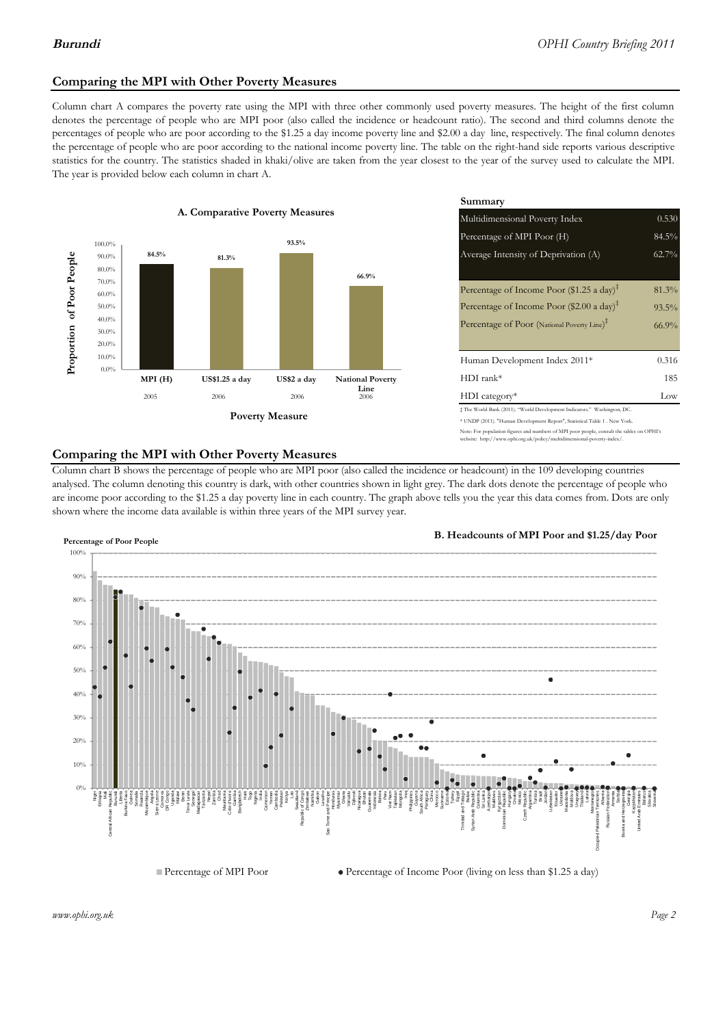# **Comparing the MPI with Other Poverty Measures**

Column chart A compares the poverty rate using the MPI with three other commonly used poverty measures. The height of the first column denotes the percentage of people who are MPI poor (also called the incidence or headcount ratio). The second and third columns denote the percentages of people who are poor according to the \$1.25 a day income poverty line and \$2.00 a day line, respectively. The final column denotes the percentage of people who are poor according to the national income poverty line. The table on the right-hand side reports various descriptive statistics for the country. The statistics shaded in khaki/olive are taken from the year closest to the year of the survey used to calculate the MPI. The year is provided below each column in chart A.



|                 |                         | Summary                                                                                                                                                    |          |  |  |
|-----------------|-------------------------|------------------------------------------------------------------------------------------------------------------------------------------------------------|----------|--|--|
| erty Measures   |                         | Multidimensional Poverty Index<br>0.530                                                                                                                    |          |  |  |
| 93.5%           |                         | Percentage of MPI Poor (H)                                                                                                                                 | 84.5%    |  |  |
|                 |                         | Average Intensity of Deprivation (A)                                                                                                                       | 62.7%    |  |  |
|                 | 66.9%                   |                                                                                                                                                            |          |  |  |
|                 |                         | Percentage of Income Poor (\$1.25 a day) <sup><math>\ddagger</math></sup>                                                                                  | $81.3\%$ |  |  |
|                 |                         | Percentage of Income Poor (\$2.00 a day) <sup><math>\bar{x}</math></sup>                                                                                   | $93.5\%$ |  |  |
|                 |                         | Percentage of Poor (National Poverty Line) <sup>#</sup>                                                                                                    | $66.9\%$ |  |  |
|                 |                         |                                                                                                                                                            |          |  |  |
|                 |                         | Human Development Index 2011*                                                                                                                              | 0.316    |  |  |
| US\$2 a day     | <b>National Poverty</b> | $HDI$ rank*                                                                                                                                                | 185      |  |  |
| 2006            | Line<br>2006            | $HDI category*$                                                                                                                                            | Low      |  |  |
| <b>⁄Ieasure</b> |                         | $\pm$ The World Bank (2011). "World Development Indicators." Washington, DC.<br>* UNDP (2011). "Human Development Report", Statistical Table 1 . New York. |          |  |  |

Note: For population figures and numbers of MPI poor people, consult the tables on OPHI's ite: http://www.ophi.org.uk/policy/multidimensional-poverty-index/

## **Comparing the MPI with Other Poverty Measures**

Column chart B shows the percentage of people who are MPI poor (also called the incidence or headcount) in the 109 developing countries analysed. The column denoting this country is dark, with other countries shown in light grey. The dark dots denote the percentage of people who are income poor according to the \$1.25 a day poverty line in each country. The graph above tells you the year this data comes from. Dots are only shown where the income data available is within three years of the MPI survey year.



**B. Headcounts of MPI Poor and \$1.25/day Poor**



*www.ophi.org.uk Page 2*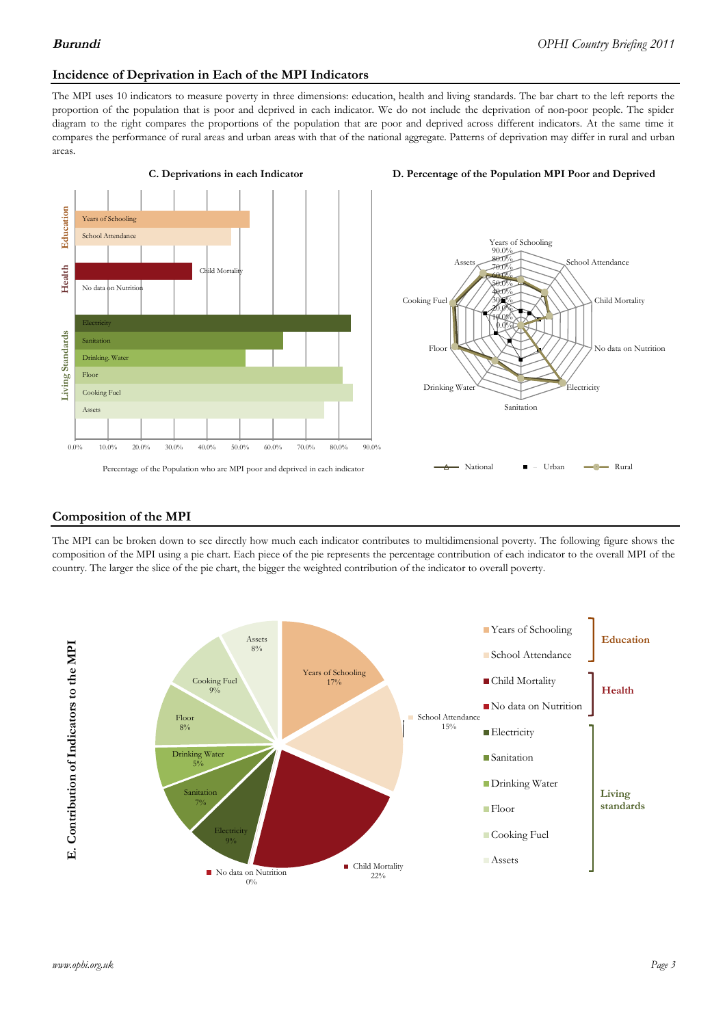### **Incidence of Deprivation in Each of the MPI Indicators**

The MPI uses 10 indicators to measure poverty in three dimensions: education, health and living standards. The bar chart to the left reports the proportion of the population that is poor and deprived in each indicator. We do not include the deprivation of non-poor people. The spider diagram to the right compares the proportions of the population that are poor and deprived across different indicators. At the same time it compares the performance of rural areas and urban areas with that of the national aggregate. Patterns of deprivation may differ in rural and urban areas.







### **Composition of the MPI**

The MPI can be broken down to see directly how much each indicator contributes to multidimensional poverty. The following figure shows the composition of the MPI using a pie chart. Each piece of the pie represents the percentage contribution of each indicator to the overall MPI of the country. The larger the slice of the pie chart, the bigger the weighted contribution of the indicator to overall poverty.

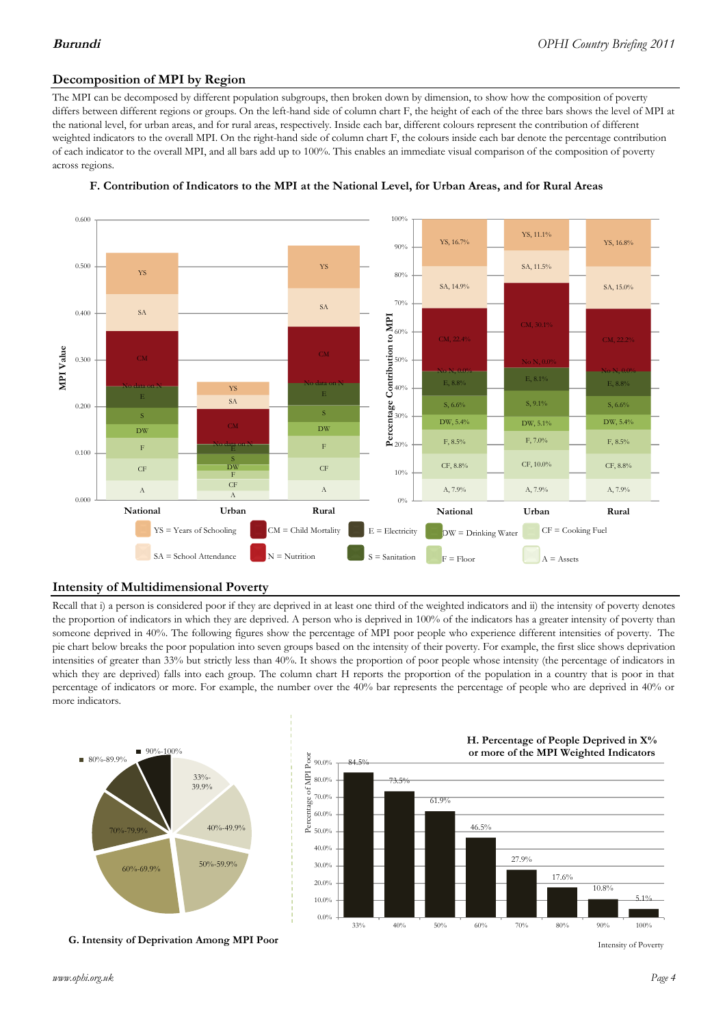# **Decomposition of MPI by Region**

The MPI can be decomposed by different population subgroups, then broken down by dimension, to show how the composition of poverty differs between different regions or groups. On the left-hand side of column chart F, the height of each of the three bars shows the level of MPI at the national level, for urban areas, and for rural areas, respectively. Inside each bar, different colours represent the contribution of different weighted indicators to the overall MPI. On the right-hand side of column chart F, the colours inside each bar denote the percentage contribution of each indicator to the overall MPI, and all bars add up to 100%. This enables an immediate visual comparison of the composition of poverty across regions.



### **F. Contribution of Indicators to the MPI at the National Level, for Urban Areas, and for Rural Areas**

## **Intensity of Multidimensional Poverty**

Recall that i) a person is considered poor if they are deprived in at least one third of the weighted indicators and ii) the intensity of poverty denotes the proportion of indicators in which they are deprived. A person who is deprived in 100% of the indicators has a greater intensity of poverty than someone deprived in 40%. The following figures show the percentage of MPI poor people who experience different intensities of poverty. The pie chart below breaks the poor population into seven groups based on the intensity of their poverty. For example, the first slice shows deprivation intensities of greater than 33% but strictly less than 40%. It shows the proportion of poor people whose intensity (the percentage of indicators in which they are deprived) falls into each group. The column chart H reports the proportion of the population in a country that is poor in that percentage of indicators or more. For example, the number over the 40% bar represents the percentage of people who are deprived in 40% or more indicators.



**G. Intensity of Deprivation Among MPI Poor**



Intensity of Poverty